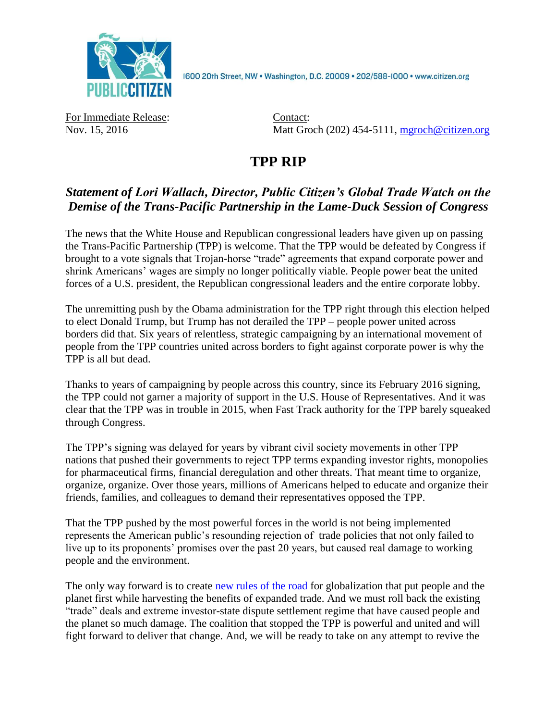

1600 20th Street, NW . Washington, D.C. 20009 . 202/588-1000 . www.citizen.org

For Immediate Release: Contact:

Nov. 15, 2016 Matt Groch (202) 454-5111, [mgroch@citizen.org](mailto:mgroch@citizen.org)

## **TPP RIP**

## *Statement of Lori Wallach, Director, Public Citizen's Global Trade Watch on the Demise of the Trans-Pacific Partnership in the Lame-Duck Session of Congress*

The news that the White House and Republican congressional leaders have given up on passing the Trans-Pacific Partnership (TPP) is welcome. That the TPP would be defeated by Congress if brought to a vote signals that Trojan-horse "trade" agreements that expand corporate power and shrink Americans' wages are simply no longer politically viable. People power beat the united forces of a U.S. president, the Republican congressional leaders and the entire corporate lobby.

The unremitting push by the Obama administration for the TPP right through this election helped to elect Donald Trump, but Trump has not derailed the TPP – people power united across borders did that. Six years of relentless, strategic campaigning by an international movement of people from the TPP countries united across borders to fight against corporate power is why the TPP is all but dead.

Thanks to years of campaigning by people across this country, since its February 2016 signing, the TPP could not garner a majority of support in the U.S. House of Representatives. And it was clear that the TPP was in trouble in 2015, when Fast Track authority for the TPP barely squeaked through Congress.

The TPP's signing was delayed for years by vibrant civil society movements in other TPP nations that pushed their governments to reject TPP terms expanding investor rights, monopolies for pharmaceutical firms, financial deregulation and other threats. That meant time to organize, organize, organize. Over those years, millions of Americans helped to educate and organize their friends, families, and colleagues to demand their representatives opposed the TPP.

That the TPP pushed by the most powerful forces in the world is not being implemented represents the American public's resounding rejection of trade policies that not only failed to live up to its proponents' promises over the past 20 years, but caused real damage to working people and the environment.

The only way forward is to create [new rules of the road](http://jaredbernsteinblog.com/wp-content/uploads/2016/09/The-New-Rules-of-the-Road.pdf) for globalization that put people and the planet first while harvesting the benefits of expanded trade. And we must roll back the existing "trade" deals and extreme investor-state dispute settlement regime that have caused people and the planet so much damage. The coalition that stopped the TPP is powerful and united and will fight forward to deliver that change. And, we will be ready to take on any attempt to revive the